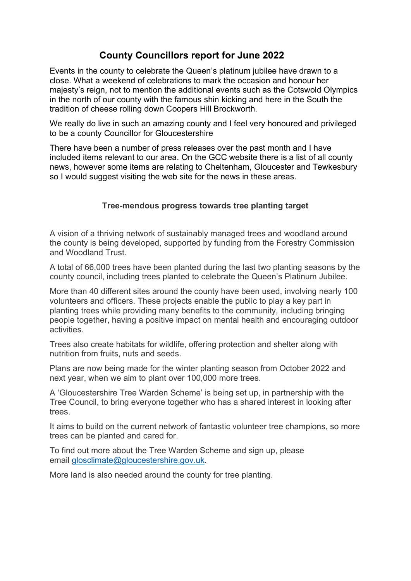# County Councillors report for June 2022

Events in the county to celebrate the Queen's platinum jubilee have drawn to a close. What a weekend of celebrations to mark the occasion and honour her majesty's reign, not to mention the additional events such as the Cotswold Olympics in the north of our county with the famous shin kicking and here in the South the tradition of cheese rolling down Coopers Hill Brockworth.

We really do live in such an amazing county and I feel very honoured and privileged to be a county Councillor for Gloucestershire

There have been a number of press releases over the past month and I have included items relevant to our area. On the GCC website there is a list of all county news, however some items are relating to Cheltenham, Gloucester and Tewkesbury so I would suggest visiting the web site for the news in these areas.

#### Tree-mendous progress towards tree planting target

A vision of a thriving network of sustainably managed trees and woodland around the county is being developed, supported by funding from the Forestry Commission and Woodland Trust.

A total of 66,000 trees have been planted during the last two planting seasons by the county council, including trees planted to celebrate the Queen's Platinum Jubilee.

More than 40 different sites around the county have been used, involving nearly 100 volunteers and officers. These projects enable the public to play a key part in planting trees while providing many benefits to the community, including bringing people together, having a positive impact on mental health and encouraging outdoor activities.

Trees also create habitats for wildlife, offering protection and shelter along with nutrition from fruits, nuts and seeds.

Plans are now being made for the winter planting season from October 2022 and next year, when we aim to plant over 100,000 more trees.

A 'Gloucestershire Tree Warden Scheme' is being set up, in partnership with the Tree Council, to bring everyone together who has a shared interest in looking after trees.

It aims to build on the current network of fantastic volunteer tree champions, so more trees can be planted and cared for.

To find out more about the Tree Warden Scheme and sign up, please email glosclimate@gloucestershire.gov.uk.

More land is also needed around the county for tree planting.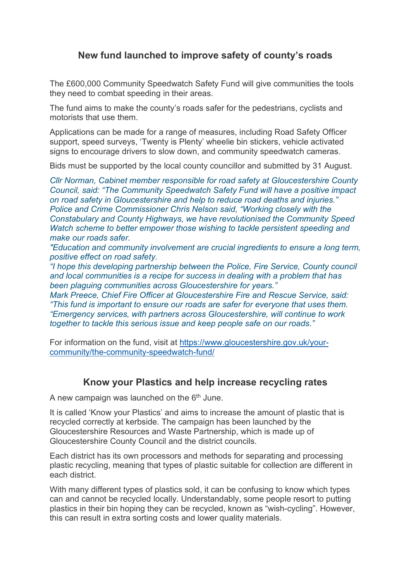# New fund launched to improve safety of county's roads

The £600,000 Community Speedwatch Safety Fund will give communities the tools they need to combat speeding in their areas.

The fund aims to make the county's roads safer for the pedestrians, cyclists and motorists that use them.

Applications can be made for a range of measures, including Road Safety Officer support, speed surveys, 'Twenty is Plenty' wheelie bin stickers, vehicle activated signs to encourage drivers to slow down, and community speedwatch cameras.

Bids must be supported by the local county councillor and submitted by 31 August.

Cllr Norman, Cabinet member responsible for road safety at Gloucestershire County Council, said: "The Community Speedwatch Safety Fund will have a positive impact on road safety in Gloucestershire and help to reduce road deaths and injuries." Police and Crime Commissioner Chris Nelson said, "Working closely with the Constabulary and County Highways, we have revolutionised the Community Speed Watch scheme to better empower those wishing to tackle persistent speeding and make our roads safer.

"Education and community involvement are crucial ingredients to ensure a long term, positive effect on road safety.

"I hope this developing partnership between the Police, Fire Service, County council and local communities is a recipe for success in dealing with a problem that has been plaguing communities across Gloucestershire for years."

Mark Preece, Chief Fire Officer at Gloucestershire Fire and Rescue Service, said: "This fund is important to ensure our roads are safer for everyone that uses them. "Emergency services, with partners across Gloucestershire, will continue to work together to tackle this serious issue and keep people safe on our roads."

For information on the fund, visit at https://www.gloucestershire.gov.uk/yourcommunity/the-community-speedwatch-fund/

## Know your Plastics and help increase recycling rates

A new campaign was launched on the  $6<sup>th</sup>$  June.

It is called 'Know your Plastics' and aims to increase the amount of plastic that is recycled correctly at kerbside. The campaign has been launched by the Gloucestershire Resources and Waste Partnership, which is made up of Gloucestershire County Council and the district councils.

Each district has its own processors and methods for separating and processing plastic recycling, meaning that types of plastic suitable for collection are different in each district.

With many different types of plastics sold, it can be confusing to know which types can and cannot be recycled locally. Understandably, some people resort to putting plastics in their bin hoping they can be recycled, known as "wish-cycling". However, this can result in extra sorting costs and lower quality materials.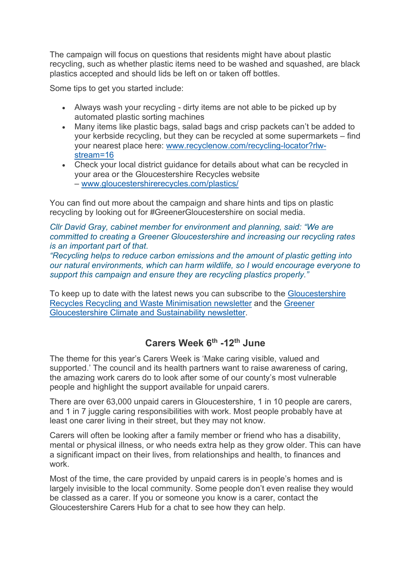The campaign will focus on questions that residents might have about plastic recycling, such as whether plastic items need to be washed and squashed, are black plastics accepted and should lids be left on or taken off bottles.

Some tips to get you started include:

- Always wash your recycling dirty items are not able to be picked up by automated plastic sorting machines
- Many items like plastic bags, salad bags and crisp packets can't be added to your kerbside recycling, but they can be recycled at some supermarkets – find your nearest place here: www.recyclenow.com/recycling-locator?rlwstream=16
- Check your local district quidance for details about what can be recycled in your area or the Gloucestershire Recycles website – www.gloucestershirerecycles.com/plastics/

You can find out more about the campaign and share hints and tips on plastic recycling by looking out for #GreenerGloucestershire on social media.

#### Cllr David Gray, cabinet member for environment and planning, said: "We are committed to creating a Greener Gloucestershire and increasing our recycling rates is an important part of that.

"Recycling helps to reduce carbon emissions and the amount of plastic getting into our natural environments, which can harm wildlife, so I would encourage everyone to support this campaign and ensure they are recycling plastics properly."

To keep up to date with the latest news you can subscribe to the Gloucestershire Recycles Recycling and Waste Minimisation newsletter and the Greener Gloucestershire Climate and Sustainability newsletter.

## Carers Week  $6<sup>th</sup>$  -12<sup>th</sup> June

The theme for this year's Carers Week is 'Make caring visible, valued and supported.' The council and its health partners want to raise awareness of caring, the amazing work carers do to look after some of our county's most vulnerable people and highlight the support available for unpaid carers.

There are over 63,000 unpaid carers in Gloucestershire, 1 in 10 people are carers, and 1 in 7 juggle caring responsibilities with work. Most people probably have at least one carer living in their street, but they may not know.

Carers will often be looking after a family member or friend who has a disability, mental or physical illness, or who needs extra help as they grow older. This can have a significant impact on their lives, from relationships and health, to finances and work.

Most of the time, the care provided by unpaid carers is in people's homes and is largely invisible to the local community. Some people don't even realise they would be classed as a carer. If you or someone you know is a carer, contact the Gloucestershire Carers Hub for a chat to see how they can help.